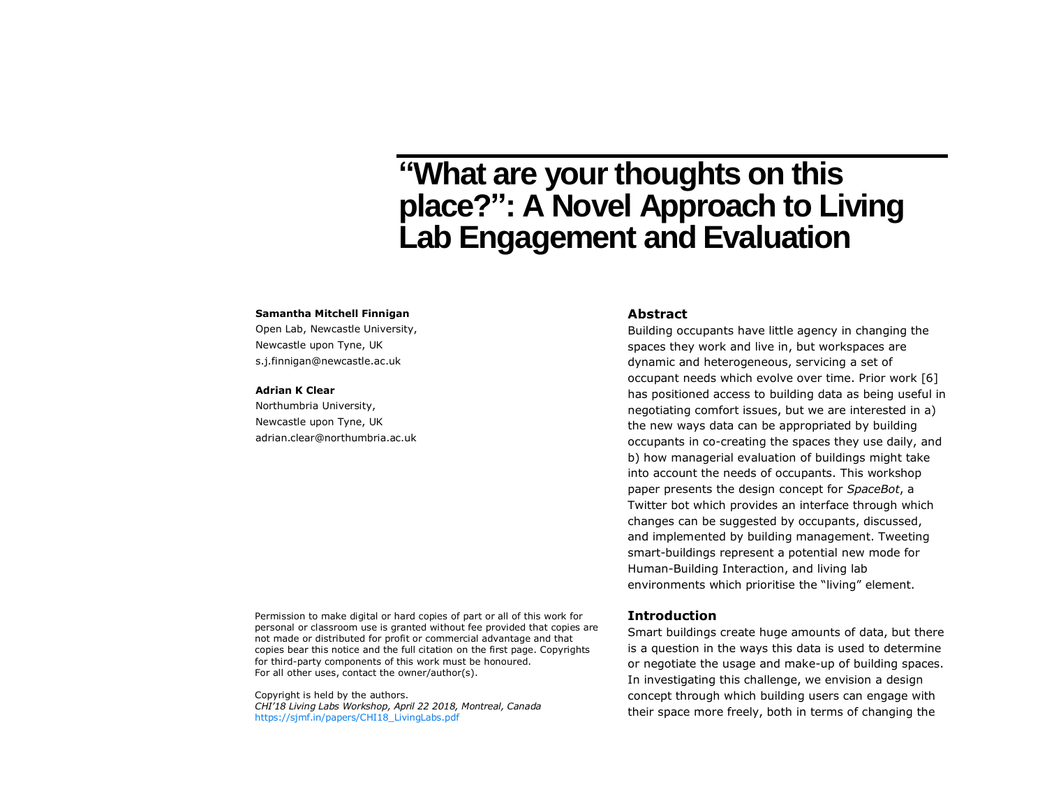# **"What are your thoughts on this place?": A Novel Approach to Living Lab Engagement and Evaluation**

#### **Samantha Mitchell Finnigan**

Open Lab, Newcastle University, Newcastle upon Tyne, UK s.j.finnigan@newcastle.ac.uk

#### **Adrian K Clear**

Northumbria University, Newcastle upon Tyne, UK adrian.clear@northumbria.ac.uk **Abstract**

Building occupants have little agency in changing the spaces they work and live in, but workspaces are dynamic and heterogeneous, servicing a set of occupant needs which evolve over time. Prior work [6] has positioned access to building data as being useful in negotiating comfort issues, but we are interested in a) the new ways data can be appropriated by building occupants in co-creating the spaces they use daily, and b) how managerial evaluation of buildings might take into account the needs of occupants. This workshop paper presents the design concept for *SpaceBot*, a Twitter bot which provides an interface through which changes can be suggested by occupants, discussed, and implemented by building management. Tweeting smart-buildings represent a potential new mode for Human-Building Interaction, and living lab environments which prioritise the "living" element.

Permission to make digital or hard copies of part or all of this work for personal or classroom use is granted without fee provided that copies are not made or distributed for profit or commercial advantage and that copies bear this notice and the full citation on the first page. Copyrights for third-party components of this work must be honoured. For all other uses, contact the owner/author(s).

Copyright is held by the authors. *CHI'18 Living Labs Workshop, April 22 2018, Montreal, Canada* [https://sjmf.in/papers/CHI18\\_LivingLabs.pdf](https://sjmf.in/papers/CHI18_LivingLabs.pdf)

#### **Introduction**

Smart buildings create huge amounts of data, but there is a question in the ways this data is used to determine or negotiate the usage and make-up of building spaces. In investigating this challenge, we envision a design concept through which building users can engage with their space more freely, both in terms of changing the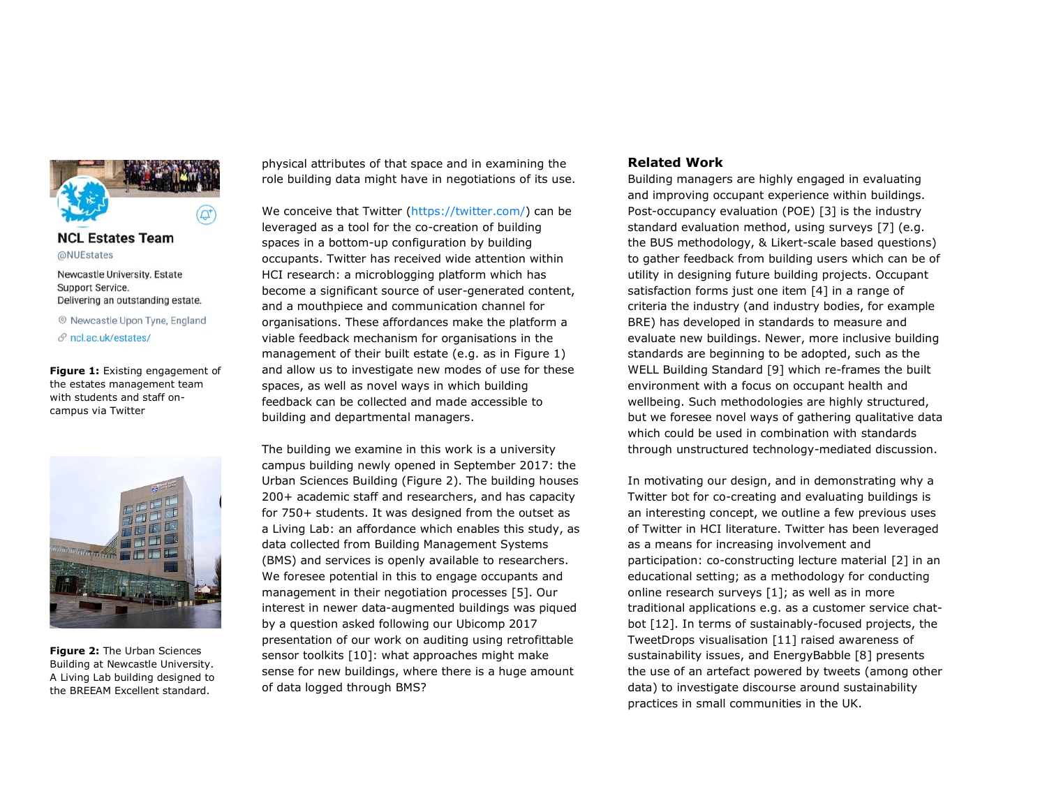

# **NCL Estates Team** @NUEstates

Newcastle University. Estate Support Service. Delivering an outstanding estate.

© Newcastle Upon Tyne, England  $\mathcal{S}$  ncl.ac.uk/estates/

<span id="page-1-0"></span>**Figure 1:** Existing engagement of the estates management team with students and staff oncampus via Twitter

<span id="page-1-1"></span>

**Figure 2:** The Urban Sciences Building at Newcastle University. A Living Lab building designed to the BREEAM Excellent standard.

physical attributes of that space and in examining the role building data might have in negotiations of its use.

We conceive that Twitter [\(https://twitter.com/\)](https://twitter.com/) can be leveraged as a tool for the co-creation of building spaces in a bottom-up configuration by building occupants. Twitter has received wide attention within HCI research: a microblogging platform which has become a significant source of user-generated content, and a mouthpiece and communication channel for organisations. These affordances make the platform a viable feedback mechanism for organisations in the management of their built estate (e.g. as in [Figure 1\)](#page-1-0) and allow us to investigate new modes of use for these spaces, as well as novel ways in which building feedback can be collected and made accessible to building and departmental managers.

The building we examine in this work is a university campus building newly opened in September 2017: the Urban Sciences Building [\(Figure 2\)](#page-1-1). The building houses 200+ academic staff and researchers, and has capacity for 750+ students. It was designed from the outset as a Living Lab: an affordance which enables this study, as data collected from Building Management Systems (BMS) and services is openly available to researchers. We foresee potential in this to engage occupants and management in their negotiation processes [5]. Our interest in newer data-augmented buildings was piqued by a question asked following our Ubicomp 2017 presentation of our work on auditing using retrofittable sensor toolkits [10]: what approaches might make sense for new buildings, where there is a huge amount of data logged through BMS?

### **Related Work**

Building managers are highly engaged in evaluating and improving occupant experience within buildings. Post-occupancy evaluation (POE) [3] is the industry standard evaluation method, using surveys [7] (e.g. the BUS methodology, & Likert-scale based questions) to gather feedback from building users which can be of utility in designing future building projects. Occupant satisfaction forms just one item [4] in a range of criteria the industry (and industry bodies, for example BRE) has developed in standards to measure and evaluate new buildings. Newer, more inclusive building standards are beginning to be adopted, such as the WELL Building Standard [9] which re-frames the built environment with a focus on occupant health and wellbeing. Such methodologies are highly structured, but we foresee novel ways of gathering qualitative data which could be used in combination with standards through unstructured technology-mediated discussion.

In motivating our design, and in demonstrating why a Twitter bot for co-creating and evaluating buildings is an interesting concept, we outline a few previous uses of Twitter in HCI literature. Twitter has been leveraged as a means for increasing involvement and participation: co-constructing lecture material [2] in an educational setting; as a methodology for conducting online research surveys [1]; as well as in more traditional applications e.g. as a customer service chatbot [12]. In terms of sustainably-focused projects, the TweetDrops visualisation [11] raised awareness of sustainability issues, and EnergyBabble [8] presents the use of an artefact powered by tweets (among other data) to investigate discourse around sustainability practices in small communities in the UK.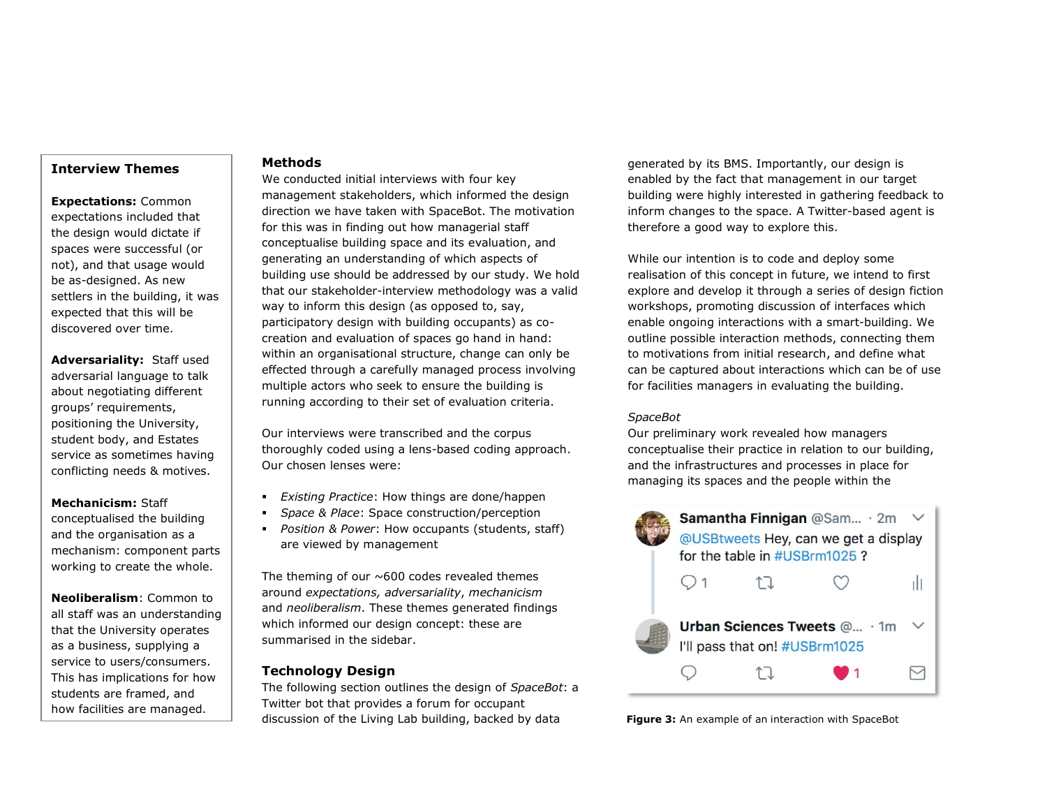# **Interview Themes**

**Expectations:** Common expectations included that the design would dictate if spaces were successful (or not), and that usage would be as-designed. As new settlers in the building, it was expected that this will be discovered over time.

**Adversariality:** Staff used adversarial language to talk about negotiating different groups' requirements, positioning the University, student body, and Estates service as sometimes having conflicting needs & motives.

**Mechanicism:** Staff conceptualised the building and the organisation as a mechanism: component parts working to create the whole.

**Neoliberalism**: Common to all staff was an understanding that the University operates as a business, supplying a service to users/consumers. This has implications for how students are framed, and how facilities are managed.

## **Methods**

We conducted initial interviews with four key management stakeholders, which informed the design direction we have taken with SpaceBot. The motivation for this was in finding out how managerial staff conceptualise building space and its evaluation, and generating an understanding of which aspects of building use should be addressed by our study. We hold that our stakeholder-interview methodology was a valid way to inform this design (as opposed to, say, participatory design with building occupants) as cocreation and evaluation of spaces go hand in hand: within an organisational structure, change can only be effected through a carefully managed process involving multiple actors who seek to ensure the building is running according to their set of evaluation criteria.

Our interviews were transcribed and the corpus thoroughly coded using a lens-based coding approach. Our chosen lenses were:

- *Existing Practice*: How things are done/happen
- Space & Place: Space construction/perception
- *Position & Power*: How occupants (students, staff) are viewed by management

The theming of our  $\sim$  600 codes revealed themes around *expectations, adversariality*, *mechanicism* and *neoliberalism*. These themes generated findings which informed our design concept: these are summarised in the sidebar.

# **Technology Design**

The following section outlines the design of *SpaceBot*: a Twitter bot that provides a forum for occupant discussion of the Living Lab building, backed by data

generated by its BMS. Importantly, our design is enabled by the fact that management in our target building were highly interested in gathering feedback to inform changes to the space. A Twitter-based agent is therefore a good way to explore this.

While our intention is to code and deploy some realisation of this concept in future, we intend to first explore and develop it through a series of design fiction workshops, promoting discussion of interfaces which enable ongoing interactions with a smart-building. We outline possible interaction methods, connecting them to motivations from initial research, and define what can be captured about interactions which can be of use for facilities managers in evaluating the building.

# *SpaceBot*

Our preliminary work revealed how managers conceptualise their practice in relation to our building, and the infrastructures and processes in place for managing its spaces and the people within the



<span id="page-2-0"></span>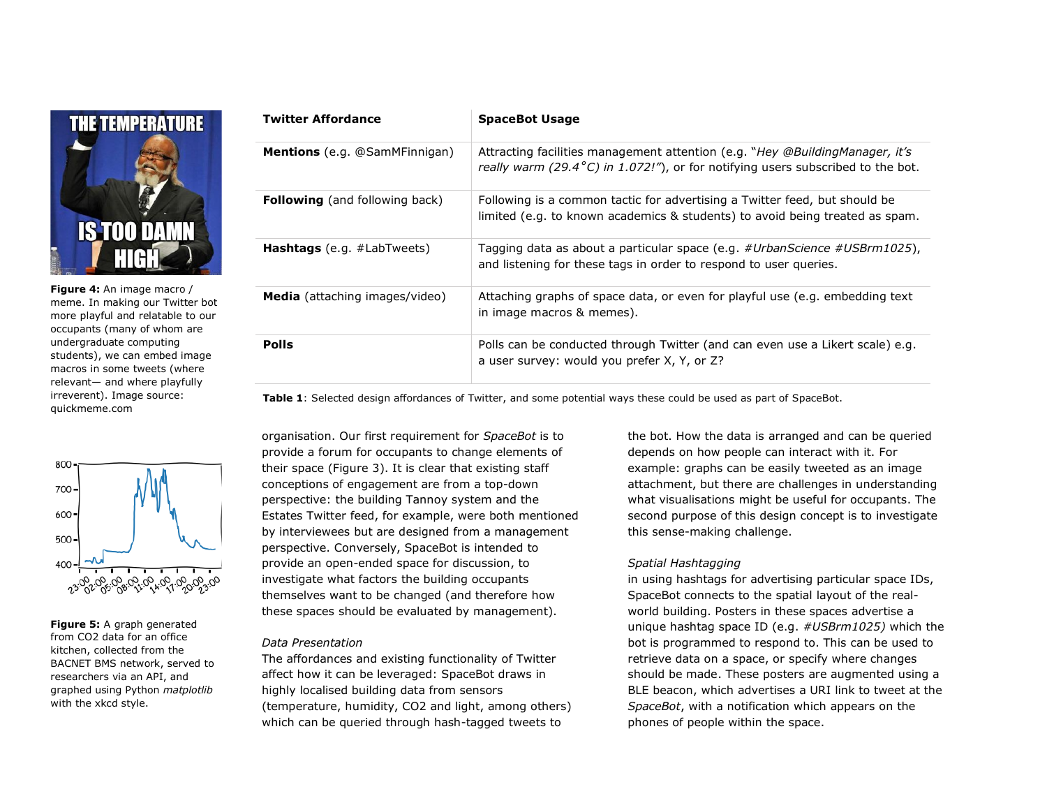

**Figure 4:** An image macro / meme. In making our Twitter bot more playful and relatable to our occupants (many of whom are undergraduate computing students), we can embed image macros in some tweets (where relevant— and where playfully irreverent). Image source: quickmeme.com



**Figure 5:** A graph generated from CO2 data for an office kitchen, collected from the BACNET BMS network, served to researchers via an API, and graphed using Python *matplotlib* with the xkcd style.

| <b>Twitter Affordance</b>             | <b>SpaceBot Usage</b>                                                                                                                                                      |
|---------------------------------------|----------------------------------------------------------------------------------------------------------------------------------------------------------------------------|
| <b>Mentions</b> (e.g. @SamMFinnigan)  | Attracting facilities management attention (e.g. "Hey @BuildingManager, it's<br>really warm (29.4 $^{\circ}$ C) in 1.072!"), or for notifying users subscribed to the bot. |
| <b>Following</b> (and following back) | Following is a common tactic for advertising a Twitter feed, but should be<br>limited (e.g. to known academics & students) to avoid being treated as spam.                 |
| <b>Hashtags</b> (e.g. $\#$ LabTweets) | Tagging data as about a particular space (e.g. #UrbanScience #USBrm1025),<br>and listening for these tags in order to respond to user queries.                             |
| <b>Media</b> (attaching images/video) | Attaching graphs of space data, or even for playful use (e.g. embedding text<br>in image macros & memes).                                                                  |
| <b>Polls</b>                          | Polls can be conducted through Twitter (and can even use a Likert scale) e.g.<br>a user survey: would you prefer X, Y, or Z?                                               |

**Table 1**: Selected design affordances of Twitter, and some potential ways these could be used as part of SpaceBot.

organisation. Our first requirement for *SpaceBot* is to provide a forum for occupants to change elements of their space [\(Figure 3\)](#page-2-0). It is clear that existing staff conceptions of engagement are from a top-down perspective: the building Tannoy system and the Estates Twitter feed, for example, were both mentioned by interviewees but are designed from a management perspective. Conversely, SpaceBot is intended to provide an open-ended space for discussion, to investigate what factors the building occupants themselves want to be changed (and therefore how these spaces should be evaluated by management).

#### *Data Presentation*

The affordances and existing functionality of Twitter affect how it can be leveraged: SpaceBot draws in highly localised building data from sensors (temperature, humidity, CO2 and light, among others) which can be queried through hash-tagged tweets to

the bot. How the data is arranged and can be queried depends on how people can interact with it. For example: graphs can be easily tweeted as an image attachment, but there are challenges in understanding what visualisations might be useful for occupants. The second purpose of this design concept is to investigate this sense-making challenge.

# *Spatial Hashtagging*

in using hashtags for advertising particular space IDs, SpaceBot connects to the spatial layout of the realworld building. Posters in these spaces advertise a unique hashtag space ID (e.g. *#USBrm1025)* which the bot is programmed to respond to. This can be used to retrieve data on a space, or specify where changes should be made. These posters are augmented using a BLE beacon, which advertises a URI link to tweet at the *SpaceBot*, with a notification which appears on the phones of people within the space.